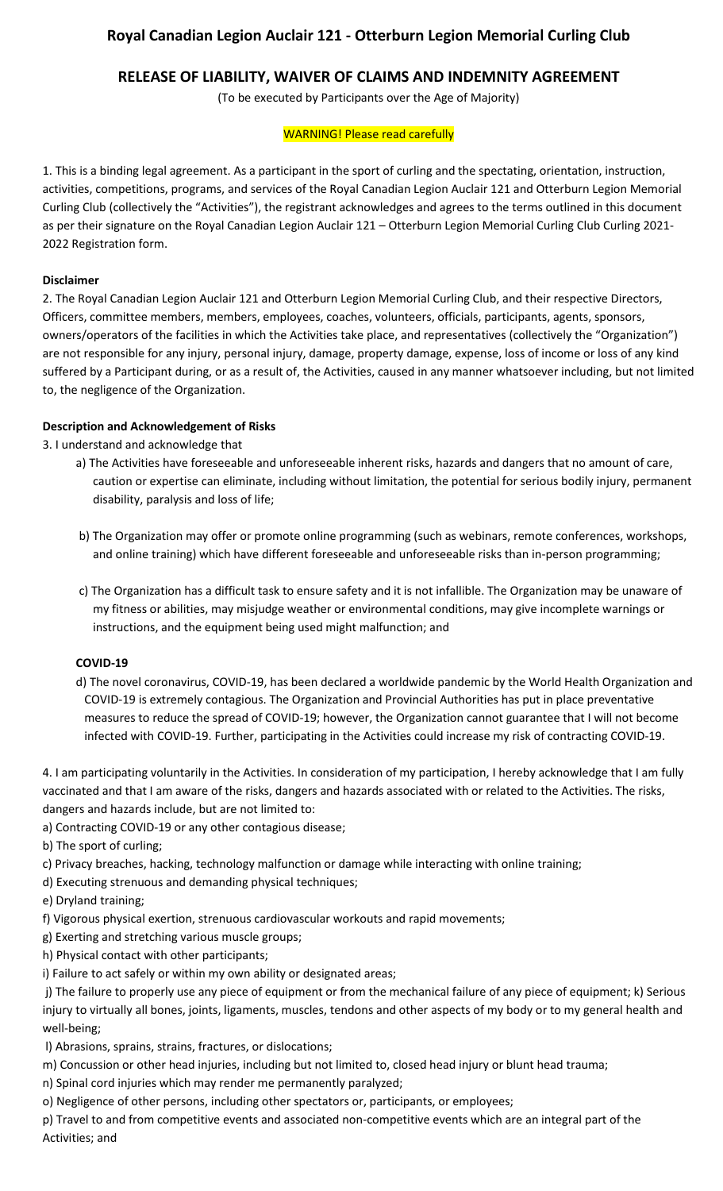# **Royal Canadian Legion Auclair 121 - Otterburn Legion Memorial Curling Club**

## **RELEASE OF LIABILITY, WAIVER OF CLAIMS AND INDEMNITY AGREEMENT**

(To be executed by Participants over the Age of Majority)

### WARNING! Please read carefully

1. This is a binding legal agreement. As a participant in the sport of curling and the spectating, orientation, instruction, activities, competitions, programs, and services of the Royal Canadian Legion Auclair 121 and Otterburn Legion Memorial Curling Club (collectively the "Activities"), the registrant acknowledges and agrees to the terms outlined in this document as per their signature on the Royal Canadian Legion Auclair 121 – Otterburn Legion Memorial Curling Club Curling 2021- 2022 Registration form.

### **Disclaimer**

2. The Royal Canadian Legion Auclair 121 and Otterburn Legion Memorial Curling Club, and their respective Directors, Officers, committee members, members, employees, coaches, volunteers, officials, participants, agents, sponsors, owners/operators of the facilities in which the Activities take place, and representatives (collectively the "Organization") are not responsible for any injury, personal injury, damage, property damage, expense, loss of income or loss of any kind suffered by a Participant during, or as a result of, the Activities, caused in any manner whatsoever including, but not limited to, the negligence of the Organization.

## **Description and Acknowledgement of Risks**

3. I understand and acknowledge that

- a) The Activities have foreseeable and unforeseeable inherent risks, hazards and dangers that no amount of care, caution or expertise can eliminate, including without limitation, the potential for serious bodily injury, permanent disability, paralysis and loss of life;
- b) The Organization may offer or promote online programming (such as webinars, remote conferences, workshops, and online training) which have different foreseeable and unforeseeable risks than in-person programming;
- c) The Organization has a difficult task to ensure safety and it is not infallible. The Organization may be unaware of my fitness or abilities, may misjudge weather or environmental conditions, may give incomplete warnings or instructions, and the equipment being used might malfunction; and

## **COVID-19**

d) The novel coronavirus, COVID-19, has been declared a worldwide pandemic by the World Health Organization and COVID-19 is extremely contagious. The Organization and Provincial Authorities has put in place preventative measures to reduce the spread of COVID-19; however, the Organization cannot guarantee that I will not become infected with COVID-19. Further, participating in the Activities could increase my risk of contracting COVID-19.

4. I am participating voluntarily in the Activities. In consideration of my participation, I hereby acknowledge that I am fully vaccinated and that I am aware of the risks, dangers and hazards associated with or related to the Activities. The risks, dangers and hazards include, but are not limited to:

a) Contracting COVID-19 or any other contagious disease;

b) The sport of curling;

- c) Privacy breaches, hacking, technology malfunction or damage while interacting with online training;
- d) Executing strenuous and demanding physical techniques;
- e) Dryland training;
- f) Vigorous physical exertion, strenuous cardiovascular workouts and rapid movements;
- g) Exerting and stretching various muscle groups;
- h) Physical contact with other participants;
- i) Failure to act safely or within my own ability or designated areas;

j) The failure to properly use any piece of equipment or from the mechanical failure of any piece of equipment; k) Serious injury to virtually all bones, joints, ligaments, muscles, tendons and other aspects of my body or to my general health and well-being;

- l) Abrasions, sprains, strains, fractures, or dislocations;
- m) Concussion or other head injuries, including but not limited to, closed head injury or blunt head trauma;
- n) Spinal cord injuries which may render me permanently paralyzed;
- o) Negligence of other persons, including other spectators or, participants, or employees;

p) Travel to and from competitive events and associated non-competitive events which are an integral part of the Activities; and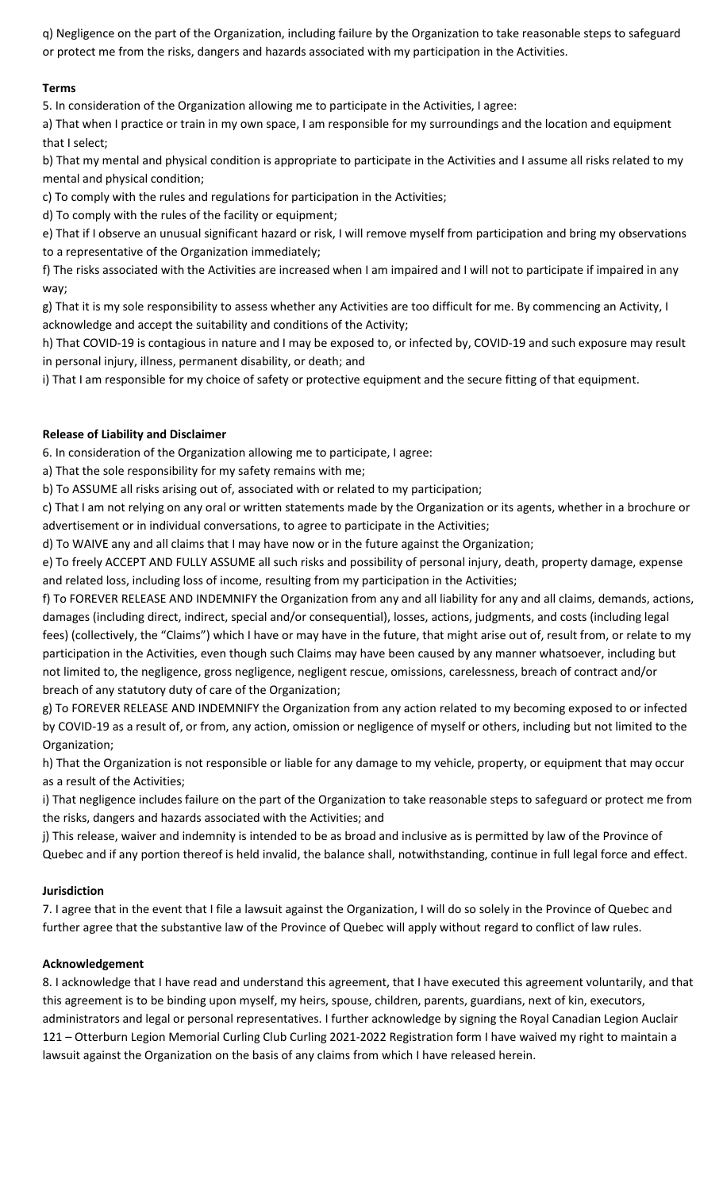q) Negligence on the part of the Organization, including failure by the Organization to take reasonable steps to safeguard or protect me from the risks, dangers and hazards associated with my participation in the Activities.

## **Terms**

5. In consideration of the Organization allowing me to participate in the Activities, I agree:

a) That when I practice or train in my own space, I am responsible for my surroundings and the location and equipment that I select;

b) That my mental and physical condition is appropriate to participate in the Activities and I assume all risks related to my mental and physical condition;

c) To comply with the rules and regulations for participation in the Activities;

d) To comply with the rules of the facility or equipment;

e) That if I observe an unusual significant hazard or risk, I will remove myself from participation and bring my observations to a representative of the Organization immediately;

f) The risks associated with the Activities are increased when I am impaired and I will not to participate if impaired in any way;

g) That it is my sole responsibility to assess whether any Activities are too difficult for me. By commencing an Activity, I acknowledge and accept the suitability and conditions of the Activity;

h) That COVID-19 is contagious in nature and I may be exposed to, or infected by, COVID-19 and such exposure may result in personal injury, illness, permanent disability, or death; and

i) That I am responsible for my choice of safety or protective equipment and the secure fitting of that equipment.

## **Release of Liability and Disclaimer**

6. In consideration of the Organization allowing me to participate, I agree:

a) That the sole responsibility for my safety remains with me;

b) To ASSUME all risks arising out of, associated with or related to my participation;

c) That I am not relying on any oral or written statements made by the Organization or its agents, whether in a brochure or advertisement or in individual conversations, to agree to participate in the Activities;

d) To WAIVE any and all claims that I may have now or in the future against the Organization;

e) To freely ACCEPT AND FULLY ASSUME all such risks and possibility of personal injury, death, property damage, expense and related loss, including loss of income, resulting from my participation in the Activities;

f) To FOREVER RELEASE AND INDEMNIFY the Organization from any and all liability for any and all claims, demands, actions, damages (including direct, indirect, special and/or consequential), losses, actions, judgments, and costs (including legal fees) (collectively, the "Claims") which I have or may have in the future, that might arise out of, result from, or relate to my participation in the Activities, even though such Claims may have been caused by any manner whatsoever, including but not limited to, the negligence, gross negligence, negligent rescue, omissions, carelessness, breach of contract and/or breach of any statutory duty of care of the Organization;

g) To FOREVER RELEASE AND INDEMNIFY the Organization from any action related to my becoming exposed to or infected by COVID-19 as a result of, or from, any action, omission or negligence of myself or others, including but not limited to the Organization;

h) That the Organization is not responsible or liable for any damage to my vehicle, property, or equipment that may occur as a result of the Activities;

i) That negligence includes failure on the part of the Organization to take reasonable steps to safeguard or protect me from the risks, dangers and hazards associated with the Activities; and

j) This release, waiver and indemnity is intended to be as broad and inclusive as is permitted by law of the Province of Quebec and if any portion thereof is held invalid, the balance shall, notwithstanding, continue in full legal force and effect.

## **Jurisdiction**

7. I agree that in the event that I file a lawsuit against the Organization, I will do so solely in the Province of Quebec and further agree that the substantive law of the Province of Quebec will apply without regard to conflict of law rules.

## **Acknowledgement**

8. I acknowledge that I have read and understand this agreement, that I have executed this agreement voluntarily, and that this agreement is to be binding upon myself, my heirs, spouse, children, parents, guardians, next of kin, executors, administrators and legal or personal representatives. I further acknowledge by signing the Royal Canadian Legion Auclair 121 – Otterburn Legion Memorial Curling Club Curling 2021-2022 Registration form I have waived my right to maintain a lawsuit against the Organization on the basis of any claims from which I have released herein.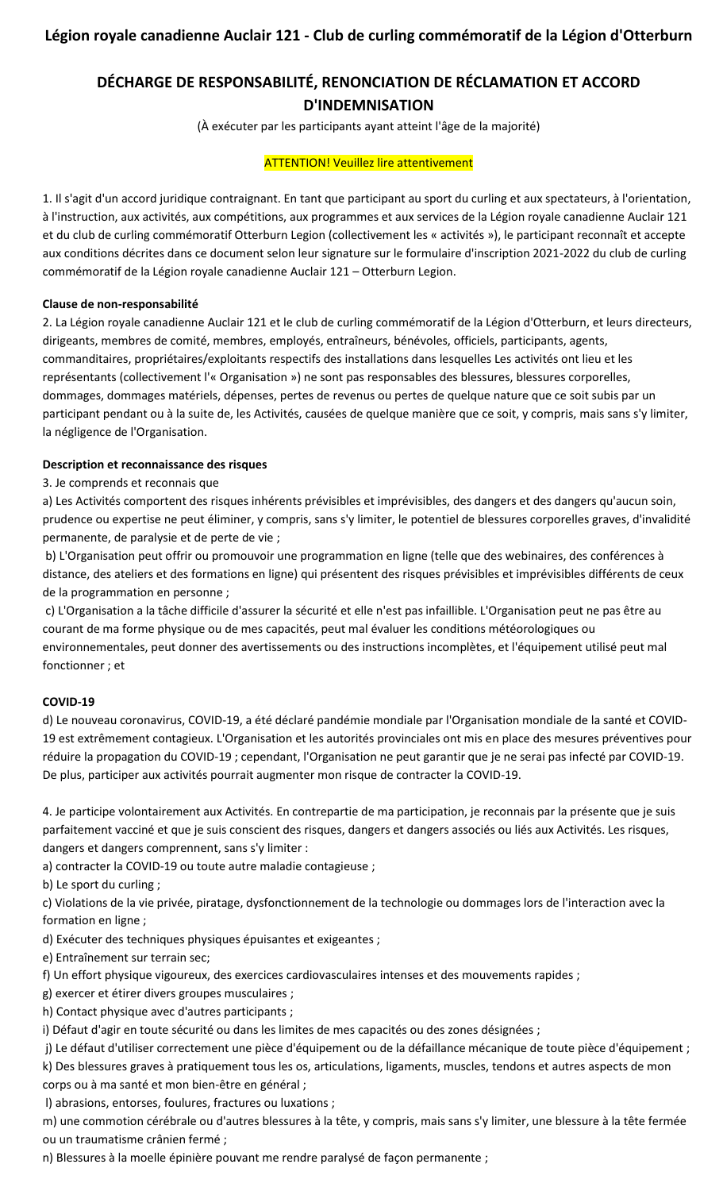# **DÉCHARGE DE RESPONSABILITÉ, RENONCIATION DE RÉCLAMATION ET ACCORD D'INDEMNISATION**

(À exécuter par les participants ayant atteint l'âge de la majorité)

### **ATTENTION! Veuillez lire attentivement**

1. Il s'agit d'un accord juridique contraignant. En tant que participant au sport du curling et aux spectateurs, à l'orientation, à l'instruction, aux activités, aux compétitions, aux programmes et aux services de la Légion royale canadienne Auclair 121 et du club de curling commémoratif Otterburn Legion (collectivement les « activités »), le participant reconnaît et accepte aux conditions décrites dans ce document selon leur signature sur le formulaire d'inscription 2021-2022 du club de curling commémoratif de la Légion royale canadienne Auclair 121 – Otterburn Legion.

### **Clause de non-responsabilité**

2. La Légion royale canadienne Auclair 121 et le club de curling commémoratif de la Légion d'Otterburn, et leurs directeurs, dirigeants, membres de comité, membres, employés, entraîneurs, bénévoles, officiels, participants, agents, commanditaires, propriétaires/exploitants respectifs des installations dans lesquelles Les activités ont lieu et les représentants (collectivement l'« Organisation ») ne sont pas responsables des blessures, blessures corporelles, dommages, dommages matériels, dépenses, pertes de revenus ou pertes de quelque nature que ce soit subis par un participant pendant ou à la suite de, les Activités, causées de quelque manière que ce soit, y compris, mais sans s'y limiter, la négligence de l'Organisation.

### **Description et reconnaissance des risques**

3. Je comprends et reconnais que

a) Les Activités comportent des risques inhérents prévisibles et imprévisibles, des dangers et des dangers qu'aucun soin, prudence ou expertise ne peut éliminer, y compris, sans s'y limiter, le potentiel de blessures corporelles graves, d'invalidité permanente, de paralysie et de perte de vie ;

b) L'Organisation peut offrir ou promouvoir une programmation en ligne (telle que des webinaires, des conférences à distance, des ateliers et des formations en ligne) qui présentent des risques prévisibles et imprévisibles différents de ceux de la programmation en personne ;

c) L'Organisation a la tâche difficile d'assurer la sécurité et elle n'est pas infaillible. L'Organisation peut ne pas être au courant de ma forme physique ou de mes capacités, peut mal évaluer les conditions météorologiques ou environnementales, peut donner des avertissements ou des instructions incomplètes, et l'équipement utilisé peut mal fonctionner ; et

#### **COVID-19**

d) Le nouveau coronavirus, COVID-19, a été déclaré pandémie mondiale par l'Organisation mondiale de la santé et COVID-19 est extrêmement contagieux. L'Organisation et les autorités provinciales ont mis en place des mesures préventives pour réduire la propagation du COVID-19 ; cependant, l'Organisation ne peut garantir que je ne serai pas infecté par COVID-19. De plus, participer aux activités pourrait augmenter mon risque de contracter la COVID-19.

4. Je participe volontairement aux Activités. En contrepartie de ma participation, je reconnais par la présente que je suis parfaitement vacciné et que je suis conscient des risques, dangers et dangers associés ou liés aux Activités. Les risques, dangers et dangers comprennent, sans s'y limiter :

a) contracter la COVID-19 ou toute autre maladie contagieuse ;

b) Le sport du curling ;

c) Violations de la vie privée, piratage, dysfonctionnement de la technologie ou dommages lors de l'interaction avec la formation en ligne ;

d) Exécuter des techniques physiques épuisantes et exigeantes ;

e) Entraînement sur terrain sec;

f) Un effort physique vigoureux, des exercices cardiovasculaires intenses et des mouvements rapides ;

g) exercer et étirer divers groupes musculaires ;

h) Contact physique avec d'autres participants ;

i) Défaut d'agir en toute sécurité ou dans les limites de mes capacités ou des zones désignées ;

j) Le défaut d'utiliser correctement une pièce d'équipement ou de la défaillance mécanique de toute pièce d'équipement ; k) Des blessures graves à pratiquement tous les os, articulations, ligaments, muscles, tendons et autres aspects de mon corps ou à ma santé et mon bien-être en général ;

l) abrasions, entorses, foulures, fractures ou luxations ;

m) une commotion cérébrale ou d'autres blessures à la tête, y compris, mais sans s'y limiter, une blessure à la tête fermée ou un traumatisme crânien fermé ;

n) Blessures à la moelle épinière pouvant me rendre paralysé de façon permanente ;